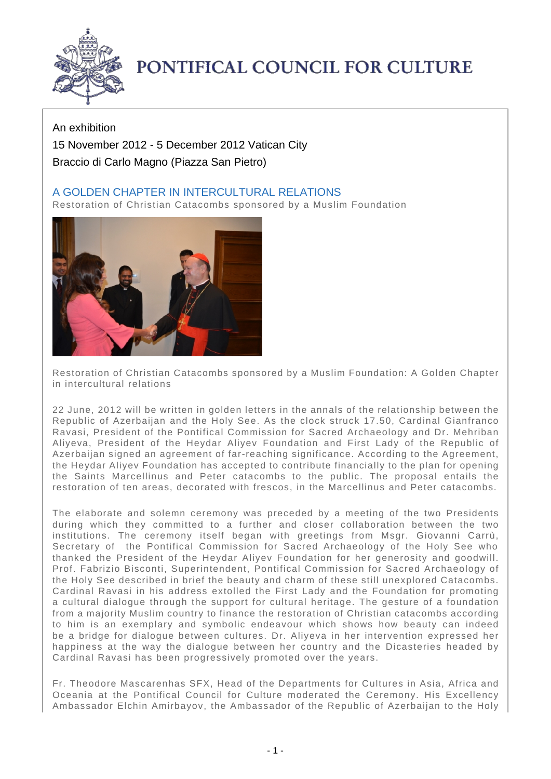

## PONTIFICAL COUNCIL FOR CULTURE

## An exhibition 15 November 2012 - 5 December 2012 Vatican City Braccio di Carlo Magno (Piazza San Pietro)

## A GOLDEN CHAPTER IN INTERCULTURAL RELATIONS

Restoration of Christian Catacombs sponsored by a Muslim Foundation



Restoration of Christian Catacombs sponsored by a Muslim Foundation: A Golden Chapter in intercultural relations

22 June, 2012 will be written in golden letters in the annals of the relationship between the Republic of Azerbaijan and the Holy See. As the clock struck 17.50, Cardinal Gianfranco Ravasi, President of the Pontifical Commission for Sacred Archaeology and Dr. Mehriban Aliyeva, President of the Heydar Aliyev Foundation and First Lady of the Republic of Azerbaijan signed an agreement of far-reaching significance. According to the Agreement, the Heydar Aliyev Foundation has accepted to contribute financially to the plan for opening the Saints Marcellinus and Peter catacombs to the public. The proposal entails the restoration of ten areas, decorated with frescos, in the Marcellinus and Peter catacombs.

The elaborate and solemn ceremony was preceded by a meeting of the two Presidents during which they committed to a further and closer collaboration between the two institutions. The ceremony itself began with greetings from Msgr. Giovanni Carrù, Secretary of the Pontifical Commission for Sacred Archaeology of the Holy See who thanked the President of the Heydar Aliyev Foundation for her generosity and goodwill. Prof. Fabrizio Bisconti, Superintendent, Pontifical Commission for Sacred Archaeology of the Holy See described in brief the beauty and charm of these still unexplored Catacombs. Cardinal Ravasi in his address extolled the First Lady and the Foundation for promoting a cultural dialogue through the support for cultural heritage. The gesture of a foundation from a majority Muslim country to finance the restoration of Christian catacombs according to him is an exemplary and symbolic endeavour which shows how beauty can indeed be a bridge for dialogue between cultures. Dr. Aliyeva in her intervention expressed her happiness at the way the dialogue between her country and the Dicasteries headed by Cardinal Ravasi has been progressively promoted over the years.

Fr. Theodore Mascarenhas SFX, Head of the Departments for Cultures in Asia, Africa and Oceania at the Pontifical Council for Culture moderated the Ceremony. His Excellency Ambassador Elchin Amirbayov, the Ambassador of the Republic of Azerbaijan to the Holy